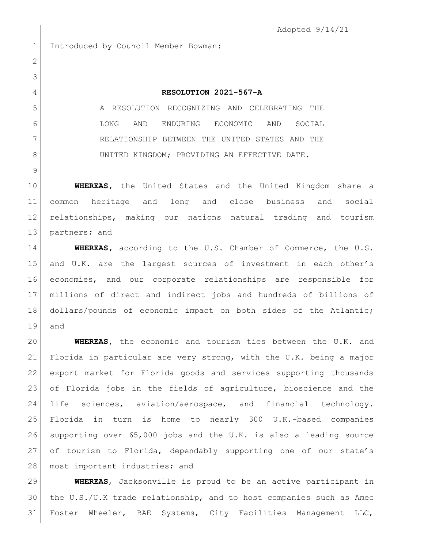Adopted 9/14/21

Introduced by Council Member Bowman:

## **RESOLUTION 2021-567-A**

 A RESOLUTION RECOGNIZING AND CELEBRATING THE LONG AND ENDURING ECONOMIC AND SOCIAL RELATIONSHIP BETWEEN THE UNITED STATES AND THE 8 UNITED KINGDOM; PROVIDING AN EFFECTIVE DATE.

 **WHEREAS,** the United States and the United Kingdom share a common heritage and long and close business and social relationships, making our nations natural trading and tourism partners**;** and

**WHEREAS,** according to the U.S. Chamber of Commerce, the U.S. and U.K. are the largest sources of investment in each other's economies, and our corporate relationships are responsible for millions of direct and indirect jobs and hundreds of billions of dollars/pounds of economic impact on both sides of the Atlantic; and

 **WHEREAS,** the economic and tourism ties between the U.K. and Florida in particular are very strong, with the U.K. being a major export market for Florida goods and services supporting thousands of Florida jobs in the fields of agriculture, bioscience and the life sciences, aviation/aerospace, and financial technology. Florida in turn is home to nearly 300 U.K.-based companies supporting over 65,000 jobs and the U.K. is also a leading source 27 of tourism to Florida, dependably supporting one of our state's 28 | most important industries; and

 **WHEREAS**, Jacksonville is proud to be an active participant in the U.S./U.K trade relationship, and to host companies such as Amec Foster Wheeler, BAE Systems, City Facilities Management LLC,